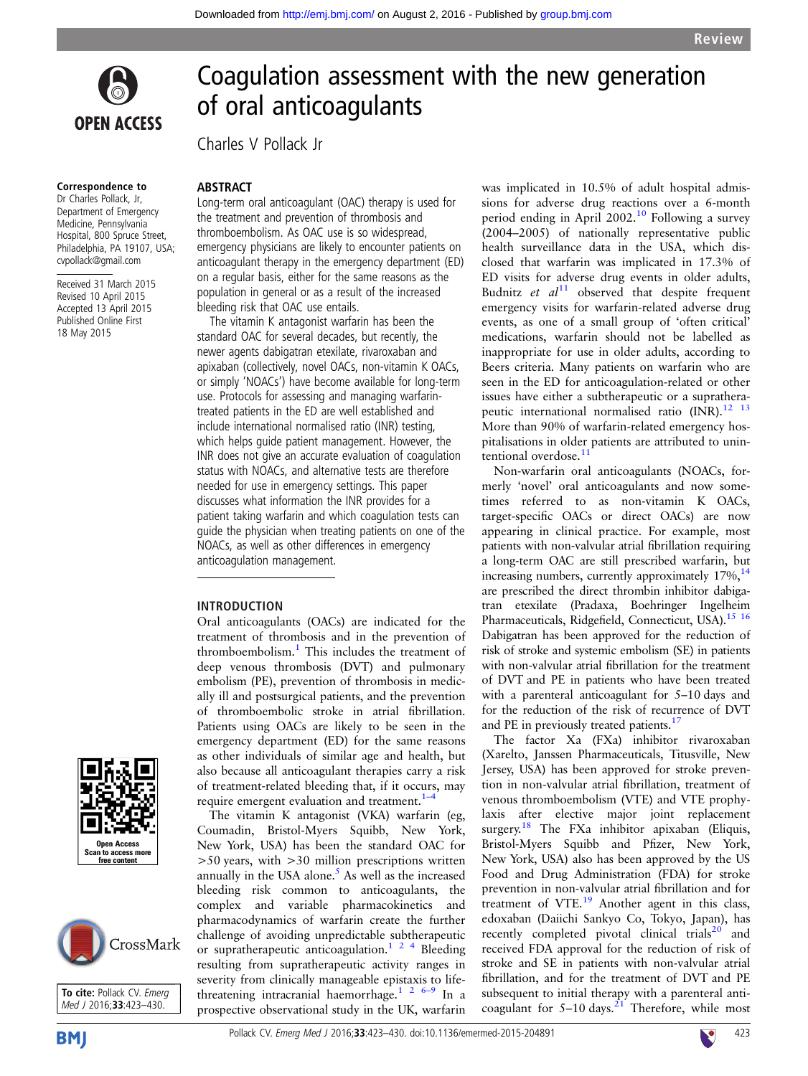

#### Correspondence to

Dr Charles Pollack, Jr, Department of Emergency Medicine, Pennsylvania Hospital, 800 Spruce Street, Philadelphia, PA 19107, USA; cvpollack@gmail.com

Received 31 March 2015 Revised 10 April 2015 Accepted 13 April 2015 Published Online First 18 May 2015

# Coagulation assessment with the new generation of oral anticoagulants

Charles V Pollack Jr

#### **ABSTRACT**

Long-term oral anticoagulant (OAC) therapy is used for the treatment and prevention of thrombosis and thromboembolism. As OAC use is so widespread, emergency physicians are likely to encounter patients on anticoagulant therapy in the emergency department (ED) on a regular basis, either for the same reasons as the population in general or as a result of the increased bleeding risk that OAC use entails.

The vitamin K antagonist warfarin has been the standard OAC for several decades, but recently, the newer agents dabigatran etexilate, rivaroxaban and apixaban (collectively, novel OACs, non-vitamin K OACs, or simply 'NOACs') have become available for long-term use. Protocols for assessing and managing warfarintreated patients in the ED are well established and include international normalised ratio (INR) testing, which helps guide patient management. However, the INR does not give an accurate evaluation of coagulation status with NOACs, and alternative tests are therefore needed for use in emergency settings. This paper discusses what information the INR provides for a patient taking warfarin and which coagulation tests can guide the physician when treating patients on one of the NOACs, as well as other differences in emergency anticoagulation management.

### INTRODUCTION

Oral anticoagulants (OACs) are indicated for the treatment of thrombosis and in the prevention of thromboembolism.<sup>[1](#page-6-0)</sup> This includes the treatment of deep venous thrombosis (DVT) and pulmonary embolism (PE), prevention of thrombosis in medically ill and postsurgical patients, and the prevention of thromboembolic stroke in atrial fibrillation. Patients using OACs are likely to be seen in the emergency department (ED) for the same reasons as other individuals of similar age and health, but also because all anticoagulant therapies carry a risk of treatment-related bleeding that, if it occurs, may require emergent evaluation and treatment.<sup>1–</sup>

The vitamin K antagonist (VKA) warfarin (eg, Coumadin, Bristol-Myers Squibb, New York, New York, USA) has been the standard OAC for  $>50$  years, with  $>30$  million prescriptions written annually in the USA alone. $<sup>5</sup>$  As well as the increased</sup> bleeding risk common to anticoagulants, the complex and variable pharmacokinetics and pharmacodynamics of warfarin create the further challenge of avoiding unpredictable subtherapeutic or supratherapeutic anticoagulation.<sup>124</sup> Bleeding resulting from supratherapeutic activity ranges in severity from clinically manageable epistaxis to life-threatening intracranial haemorrhage.<sup>1</sup> <sup>2</sup> <sup>6[–](#page-6-0)9</sup> In a prospective observational study in the UK, warfarin was implicated in 10.5% of adult hospital admissions for adverse drug reactions over a 6-month period ending in April  $2002<sup>10</sup>$  $2002<sup>10</sup>$  $2002<sup>10</sup>$  Following a survey (2004–2005) of nationally representative public health surveillance data in the USA, which disclosed that warfarin was implicated in 17.3% of ED visits for adverse drug events in older adults, Budnitz et  $al<sup>11</sup>$  $al<sup>11</sup>$  $al<sup>11</sup>$  observed that despite frequent emergency visits for warfarin-related adverse drug events, as one of a small group of 'often critical' medications, warfarin should not be labelled as inappropriate for use in older adults, according to Beers criteria. Many patients on warfarin who are seen in the ED for anticoagulation-related or other issues have either a subtherapeutic or a supratherapeutic international normalised ratio (INR).<sup>12</sup> <sup>13</sup> More than 90% of warfarin-related emergency hospitalisations in older patients are attributed to unintentional overdose. $1$ 

Non-warfarin oral anticoagulants (NOACs, formerly 'novel' oral anticoagulants and now sometimes referred to as non-vitamin K OACs, target-specific OACs or direct OACs) are now appearing in clinical practice. For example, most patients with non-valvular atrial fibrillation requiring a long-term OAC are still prescribed warfarin, but increasing numbers, currently approximately  $17\%,$ <sup>14</sup> are prescribed the direct thrombin inhibitor dabigatran etexilate (Pradaxa, Boehringer Ingelheim Pharmaceuticals, Ridgefield, Connecticut, USA).<sup>[15 16](#page-6-0)</sup> Dabigatran has been approved for the reduction of risk of stroke and systemic embolism (SE) in patients with non-valvular atrial fibrillation for the treatment of DVT and PE in patients who have been treated with a parenteral anticoagulant for 5–10 days and for the reduction of the risk of recurrence of DVT and PE in previously treated patients.<sup>17</sup>

The factor Xa (FXa) inhibitor rivaroxaban (Xarelto, Janssen Pharmaceuticals, Titusville, New Jersey, USA) has been approved for stroke prevention in non-valvular atrial fibrillation, treatment of venous thromboembolism (VTE) and VTE prophylaxis after elective major joint replacement surgery.<sup>[18](#page-6-0)</sup> The FXa inhibitor apixaban (Eliquis, Bristol-Myers Squibb and Pfizer, New York, New York, USA) also has been approved by the US Food and Drug Administration (FDA) for stroke prevention in non-valvular atrial fibrillation and for treatment of VTE.[19](#page-6-0) Another agent in this class, edoxaban (Daiichi Sankyo Co, Tokyo, Japan), has recently completed pivotal clinical trials $^{20}$  $^{20}$  $^{20}$  and received FDA approval for the reduction of risk of stroke and SE in patients with non-valvular atrial fibrillation, and for the treatment of DVT and PE subsequent to initial therapy with a parenteral anticoagulant for  $5-10$  days.<sup>[21](#page-6-0)</sup> Therefore, while most





To cite: Pollack CV. Emerg Med J 2016;33:423-430.

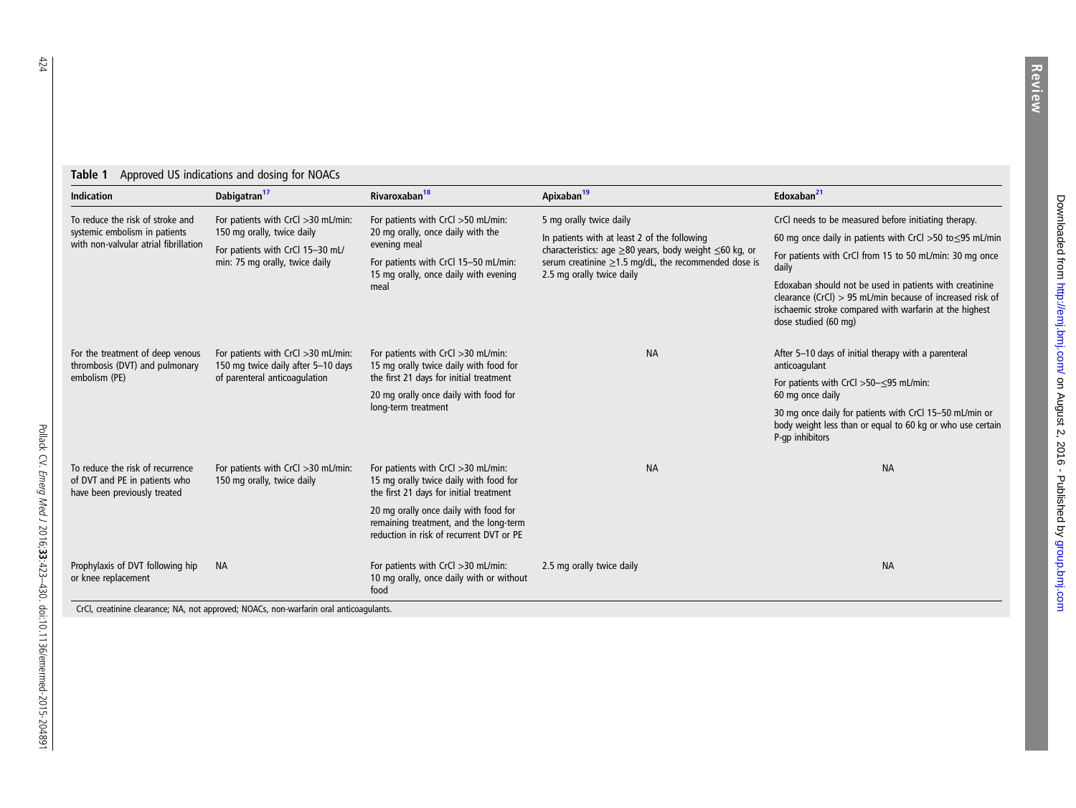| <b>Indication</b>                                                                                          | Dabigatran <sup>17</sup>                                                                         | Rivaroxaban <sup>18</sup>                                                                                                                  | Apixaban <sup>19</sup>                                                                                                                                                                                        | Edoxaban <sup>21</sup>                                                                                                                                                                                   |  |  |
|------------------------------------------------------------------------------------------------------------|--------------------------------------------------------------------------------------------------|--------------------------------------------------------------------------------------------------------------------------------------------|---------------------------------------------------------------------------------------------------------------------------------------------------------------------------------------------------------------|----------------------------------------------------------------------------------------------------------------------------------------------------------------------------------------------------------|--|--|
| To reduce the risk of stroke and<br>systemic embolism in patients<br>with non-valvular atrial fibrillation | For patients with CrCl >30 mL/min:                                                               | For patients with CrCl >50 mL/min:                                                                                                         | 5 mg orally twice daily                                                                                                                                                                                       | CrCl needs to be measured before initiating therapy.                                                                                                                                                     |  |  |
|                                                                                                            | 150 mg orally, twice daily<br>For patients with CrCl 15-30 mL/<br>min: 75 mg orally, twice daily | 20 mg orally, once daily with the<br>evening meal<br>For patients with CrCl 15-50 mL/min:<br>15 mg orally, once daily with evening<br>meal | In patients with at least 2 of the following<br>characteristics: age $\geq$ 80 years, body weight $\leq$ 60 kg, or<br>serum creatinine $\geq$ 1.5 mg/dL, the recommended dose is<br>2.5 mg orally twice daily | 60 mg once daily in patients with CrCl > 50 to $\leq$ 95 mL/min                                                                                                                                          |  |  |
|                                                                                                            |                                                                                                  |                                                                                                                                            |                                                                                                                                                                                                               | For patients with CrCl from 15 to 50 mL/min: 30 mg once<br>daily                                                                                                                                         |  |  |
|                                                                                                            |                                                                                                  |                                                                                                                                            |                                                                                                                                                                                                               | Edoxaban should not be used in patients with creatinine<br>clearance (CrCl) $> 95$ mL/min because of increased risk of<br>ischaemic stroke compared with warfarin at the highest<br>dose studied (60 mg) |  |  |
| For the treatment of deep venous<br>thrombosis (DVT) and pulmonary<br>embolism (PE)                        | For patients with CrCl >30 mL/min:<br>150 mg twice daily after 5-10 days                         | For patients with CrCl >30 mL/min:<br>15 mg orally twice daily with food for                                                               | <b>NA</b>                                                                                                                                                                                                     | After 5-10 days of initial therapy with a parenteral<br>anticoagulant                                                                                                                                    |  |  |
|                                                                                                            | of parenteral anticoagulation                                                                    | the first 21 days for initial treatment<br>20 mg orally once daily with food for<br>long-term treatment                                    |                                                                                                                                                                                                               | For patients with CrCl $>50-\leq95$ mL/min:<br>60 mg once daily                                                                                                                                          |  |  |
|                                                                                                            |                                                                                                  |                                                                                                                                            |                                                                                                                                                                                                               | 30 mg once daily for patients with CrCl 15-50 mL/min or<br>body weight less than or equal to 60 kg or who use certain<br>P-qp inhibitors                                                                 |  |  |
| To reduce the risk of recurrence<br>of DVT and PE in patients who<br>have been previously treated          | For patients with CrCl >30 mL/min:<br>150 mg orally, twice daily                                 | For patients with CrCl >30 mL/min:<br>15 mg orally twice daily with food for<br>the first 21 days for initial treatment                    | <b>NA</b>                                                                                                                                                                                                     | <b>NA</b>                                                                                                                                                                                                |  |  |
|                                                                                                            |                                                                                                  | 20 mg orally once daily with food for<br>remaining treatment, and the long-term<br>reduction in risk of recurrent DVT or PE                |                                                                                                                                                                                                               |                                                                                                                                                                                                          |  |  |
| Prophylaxis of DVT following hip<br>or knee replacement                                                    | <b>NA</b>                                                                                        | For patients with CrCl >30 mL/min:<br>10 mg orally, once daily with or without<br>food                                                     | 2.5 mg orally twice daily                                                                                                                                                                                     | <b>NA</b>                                                                                                                                                                                                |  |  |

<span id="page-1-0"></span>Table 1 Approved US indications and dosing for NOACs

CrCl, creatinine clearance; NA, not approved; NOACs, non-warfarin oral anticoagulants.

Pollack CV.

Emerg Med J

2016;33:423

–430. doi:10.1136/emermed-2015-204891

Review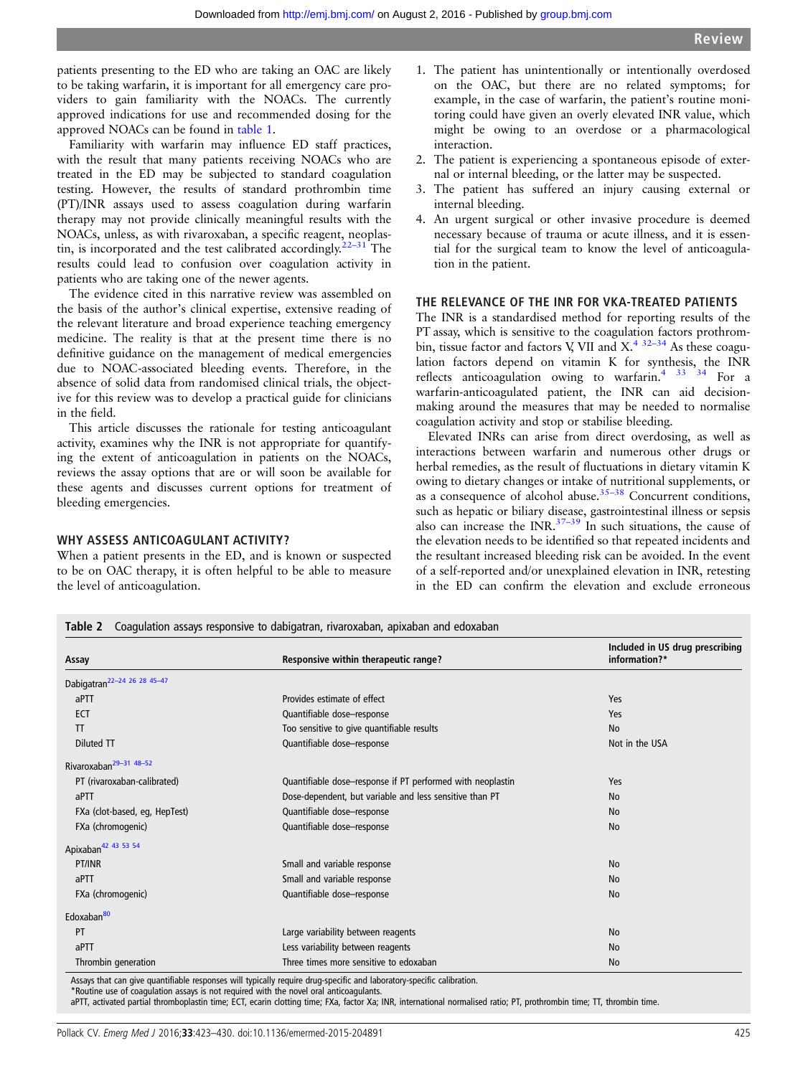<span id="page-2-0"></span>patients presenting to the ED who are taking an OAC are likely to be taking warfarin, it is important for all emergency care providers to gain familiarity with the NOACs. The currently approved indications for use and recommended dosing for the approved NOACs can be found in [table 1](#page-1-0).

Familiarity with warfarin may influence ED staff practices, with the result that many patients receiving NOACs who are treated in the ED may be subjected to standard coagulation testing. However, the results of standard prothrombin time (PT)/INR assays used to assess coagulation during warfarin therapy may not provide clinically meaningful results with the NOACs, unless, as with rivaroxaban, a specific reagent, neoplastin, is incorporated and the test calibrated accordingly.  $22-31$  $22-31$  The results could lead to confusion over coagulation activity in patients who are taking one of the newer agents.

The evidence cited in this narrative review was assembled on the basis of the author's clinical expertise, extensive reading of the relevant literature and broad experience teaching emergency medicine. The reality is that at the present time there is no definitive guidance on the management of medical emergencies due to NOAC-associated bleeding events. Therefore, in the absence of solid data from randomised clinical trials, the objective for this review was to develop a practical guide for clinicians in the field.

This article discusses the rationale for testing anticoagulant activity, examines why the INR is not appropriate for quantifying the extent of anticoagulation in patients on the NOACs, reviews the assay options that are or will soon be available for these agents and discusses current options for treatment of bleeding emergencies.

#### WHY ASSESS ANTICOAGULANT ACTIVITY?

When a patient presents in the ED, and is known or suspected to be on OAC therapy, it is often helpful to be able to measure the level of anticoagulation.

- 1. The patient has unintentionally or intentionally overdosed on the OAC, but there are no related symptoms; for example, in the case of warfarin, the patient's routine monitoring could have given an overly elevated INR value, which might be owing to an overdose or a pharmacological interaction.
- 2. The patient is experiencing a spontaneous episode of external or internal bleeding, or the latter may be suspected.
- 3. The patient has suffered an injury causing external or internal bleeding.
- 4. An urgent surgical or other invasive procedure is deemed necessary because of trauma or acute illness, and it is essential for the surgical team to know the level of anticoagulation in the patient.

### THE RELEVANCE OF THE INR FOR VKA-TREATED PATIENTS

The INR is a standardised method for reporting results of the PT assay, which is sensitive to the coagulation factors prothrombin, tissue factor and factors V, VII and  $X^{4}$ .  $32-34$  As these coagulation factors depend on vitamin K for synthesis, the INR reflects anticoagulation owing to warfarin. $4^{33}$  34 For a warfarin-anticoagulated patient, the INR can aid decisionmaking around the measures that may be needed to normalise coagulation activity and stop or stabilise bleeding.

Elevated INRs can arise from direct overdosing, as well as interactions between warfarin and numerous other drugs or herbal remedies, as the result of fluctuations in dietary vitamin K owing to dietary changes or intake of nutritional supplements, or as a consequence of alcohol abuse. $35-38$  Concurrent conditions, such as hepatic or biliary disease, gastrointestinal illness or sepsis also can increase the INR. $37-39$  $37-39$  In such situations, the cause of the elevation needs to be identified so that repeated incidents and the resultant increased bleeding risk can be avoided. In the event of a self-reported and/or unexplained elevation in INR, retesting in the ED can confirm the elevation and exclude erroneous

| Responsive within therapeutic range?<br>Assay                    |                                                            | Included in US drug prescribing<br>information?* |  |  |
|------------------------------------------------------------------|------------------------------------------------------------|--------------------------------------------------|--|--|
| Dabigatran <sup>22-24</sup> 26 28 45-47                          |                                                            |                                                  |  |  |
| aPTT                                                             | Provides estimate of effect                                | Yes                                              |  |  |
| ECT                                                              | Quantifiable dose-response                                 | Yes                                              |  |  |
| TT.                                                              | Too sensitive to give quantifiable results                 | <b>No</b>                                        |  |  |
| Diluted TT                                                       | Quantifiable dose-response<br>Not in the USA               |                                                  |  |  |
| Rivaroxaban <sup>29-31</sup> 48-52                               |                                                            |                                                  |  |  |
| PT (rivaroxaban-calibrated)                                      | Quantifiable dose–response if PT performed with neoplastin | Yes                                              |  |  |
| aPTT                                                             | Dose-dependent, but variable and less sensitive than PT    | <b>No</b>                                        |  |  |
| FXa (clot-based, eq, HepTest)                                    | Quantifiable dose-response                                 | <b>No</b>                                        |  |  |
| FXa (chromogenic)                                                | Quantifiable dose-response<br><b>No</b>                    |                                                  |  |  |
| Apixaban <sup>42</sup> <sup>43</sup> <sup>53</sup> <sup>54</sup> |                                                            |                                                  |  |  |
| PT/INR<br>Small and variable response                            |                                                            | <b>No</b>                                        |  |  |
| aPTT                                                             | Small and variable response<br><b>No</b>                   |                                                  |  |  |
| FXa (chromogenic)                                                | Quantifiable dose-response<br><b>No</b>                    |                                                  |  |  |
| Edoxaban <sup>80</sup>                                           |                                                            |                                                  |  |  |
| PT                                                               | Large variability between reagents                         | <b>No</b>                                        |  |  |
| aPTT                                                             | Less variability between reagents                          | <b>No</b>                                        |  |  |
| Thrombin generation                                              | Three times more sensitive to edoxaban<br>No               |                                                  |  |  |

*r*s that can give quantifiable responses will typically require drug-sp

\*Routine use of coagulation assays is not required with the novel oral anticoagulants.

aPTT, activated partial thromboplastin time; ECT, ecarin clotting time; FXa, factor Xa; INR, international normalised ratio; PT, prothrombin time; TT, thrombin time.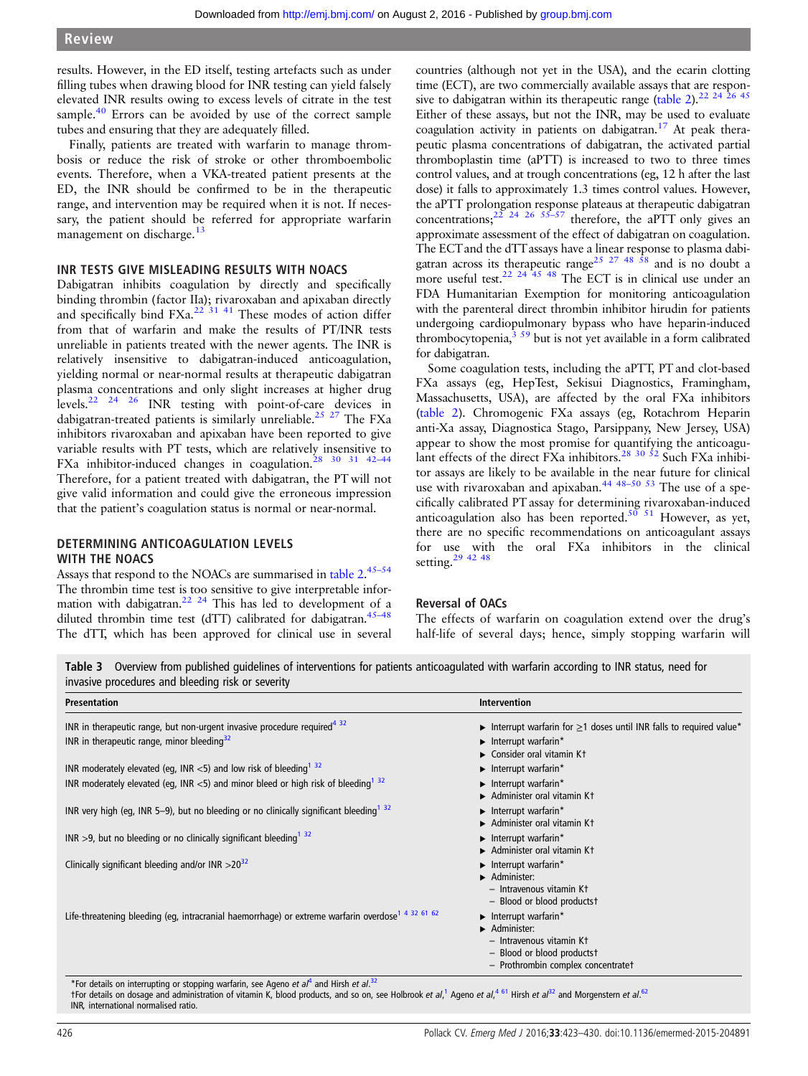<span id="page-3-0"></span>results. However, in the ED itself, testing artefacts such as under filling tubes when drawing blood for INR testing can yield falsely elevated INR results owing to excess levels of citrate in the test sample. $40$  Errors can be avoided by use of the correct sample tubes and ensuring that they are adequately filled.

Finally, patients are treated with warfarin to manage thrombosis or reduce the risk of stroke or other thromboembolic events. Therefore, when a VKA-treated patient presents at the ED, the INR should be confirmed to be in the therapeutic range, and intervention may be required when it is not. If necessary, the patient should be referred for appropriate warfarin management on discharge.<sup>[13](#page-6-0)</sup>

#### INR TESTS GIVE MISLEADING RESULTS WITH NOACS

Dabigatran inhibits coagulation by directly and specifically binding thrombin (factor IIa); rivaroxaban and apixaban directly and specifically bind  $FXa$ <sup>[22 31](#page-6-0) [41](#page-7-0)</sup> These modes of action differ from that of warfarin and make the results of PT/INR tests unreliable in patients treated with the newer agents. The INR is relatively insensitive to dabigatran-induced anticoagulation, yielding normal or near-normal results at therapeutic dabigatran plasma concentrations and only slight increases at higher drug levels[.22 24 26](#page-6-0) INR testing with point-of-care devices in dabigatran-treated patients is similarly unreliable.<sup>[25 27](#page-6-0)</sup> The FXa inhibitors rivaroxaban and apixaban have been reported to give variable results with PT tests, which are relatively insensitive to FXa inhibitor-induced changes in coagulation.<sup>28 30</sup> <sup>31</sup> <sup>42-44</sup> Therefore, for a patient treated with dabigatran, the PT will not give valid information and could give the erroneous impression that the patient's coagulation status is normal or near-normal.

# DETERMINING ANTICOAGULATION LEVELS WITH THE NOACS

Assays that respond to the NOACs are summarised in [table 2](#page-2-0).<sup>45-[54](#page-7-0)</sup> The thrombin time test is too sensitive to give interpretable information with dabigatran.<sup>22</sup> <sup>24</sup> This has led to development of a diluted thrombin time test (dTT) calibrated for dabigatran.<sup>[45](#page-7-0)-48</sup> The dTT, which has been approved for clinical use in several

countries (although not yet in the USA), and the ecarin clotting time (ECT), are two commercially available assays that are respon-sive to dabigatran within its therapeutic range [\(table 2](#page-2-0)).<sup>22 24 26 [45](#page-7-0)</sup> Either of these assays, but not the INR, may be used to evaluate coagulation activity in patients on dabigatran.<sup>[17](#page-6-0)</sup> At peak therapeutic plasma concentrations of dabigatran, the activated partial thromboplastin time (aPTT) is increased to two to three times control values, and at trough concentrations (eg, 12 h after the last dose) it falls to approximately 1.3 times control values. However, the aPTT prolongation response plateaus at therapeutic dabigatran concentrations;<sup>[22 24 26](#page-6-0) [55](#page-7-0)–57</sup> therefore, the aPTT only gives an approximate assessment of the effect of dabigatran on coagulation. The ECT and the dTT assays have a linear response to plasma dabi-gatran across its therapeutic range<sup>[25 27](#page-6-0)</sup> <sup>48</sup>  $\overline{58}$  and is no doubt a more useful test.<sup>22 24 [45 48](#page-7-0)</sup> The ECT is in clinical use under an FDA Humanitarian Exemption for monitoring anticoagulation with the parenteral direct thrombin inhibitor hirudin for patients undergoing cardiopulmonary bypass who have heparin-induced thrombocytopenia, $3\frac{3}{59}$  $3\frac{3}{59}$  but is not yet available in a form calibrated for dabigatran.

Some coagulation tests, including the aPTT, PT and clot-based FXa assays (eg, HepTest, Sekisui Diagnostics, Framingham, Massachusetts, USA), are affected by the oral FXa inhibitors ([table 2](#page-2-0)). Chromogenic FXa assays (eg, Rotachrom Heparin anti-Xa assay, Diagnostica Stago, Parsippany, New Jersey, USA) appear to show the most promise for quantifying the anticoagu-lant effects of the direct FXa inhibitors.<sup>[28 30](#page-6-0) [52](#page-7-0)</sup> Such FXa inhibitor assays are likely to be available in the near future for clinical use with rivaroxaban and apixaban.<sup>[44](#page-7-0) 48–[50 53](#page-7-0)</sup> The use of a specifically calibrated PT assay for determining rivaroxaban-induced anticoagulation also has been reported.<sup>[50 51](#page-7-0)</sup> However, as yet, there are no specific recommendations on anticoagulant assays for use with the oral FXa inhibitors in the clinical setting.<sup>[29](#page-6-0)</sup> <sup>42</sup> <sup>48</sup>

# Reversal of OACs

The effects of warfarin on coagulation extend over the drug's half-life of several days; hence, simply stopping warfarin will

| Table 3 Overview from published quidelines of interventions for patients anticoagulated with warfarin according to INR status, need for |  |  |  |  |  |  |
|-----------------------------------------------------------------------------------------------------------------------------------------|--|--|--|--|--|--|
| invasive procedures and bleeding risk or severity                                                                                       |  |  |  |  |  |  |

| <b>Presentation</b>                                                                                           | <b>Intervention</b>                                                                                                                                      |
|---------------------------------------------------------------------------------------------------------------|----------------------------------------------------------------------------------------------------------------------------------------------------------|
| INR in therapeutic range, but non-urgent invasive procedure required <sup>432</sup>                           | Interrupt warfarin for $\geq$ 1 doses until INR falls to required value*                                                                                 |
| INR in therapeutic range, minor bleeding $32$                                                                 | $\blacktriangleright$ Interrupt warfarin*<br>$\triangleright$ Consider oral vitamin Kt                                                                   |
| INR moderately elevated (eq. INR $<$ 5) and low risk of bleeding <sup>132</sup>                               | $\blacktriangleright$ Interrupt warfarin*                                                                                                                |
| INR moderately elevated (eg, INR $<$ 5) and minor bleed or high risk of bleeding <sup>1 32</sup>              | $\blacktriangleright$ Interrupt warfarin*<br>$\blacktriangleright$ Administer oral vitamin Kt                                                            |
| INR very high (eq. INR 5-9), but no bleeding or no clinically significant bleeding $32$                       | $\blacktriangleright$ Interrupt warfarin*<br>$\blacktriangleright$ Administer oral vitamin Kt                                                            |
| INR >9, but no bleeding or no clinically significant bleeding $32$                                            | $\blacktriangleright$ Interrupt warfarin*<br>$\blacktriangleright$ Administer oral vitamin Kt                                                            |
| Clinically significant bleeding and/or INR $>20^{32}$                                                         | $\blacktriangleright$ Interrupt warfarin*<br>Administer:<br>- Intravenous vitamin Kt<br>- Blood or blood productst                                       |
| Life-threatening bleeding (eg, intracranial haemorrhage) or extreme warfarin overdose <sup>1 4 32 61 62</sup> | $\blacktriangleright$ Interrupt warfarin*<br>Administer:<br>- Intravenous vitamin Kt<br>- Blood or blood productst<br>- Prothrombin complex concentratet |

\*For details on interrupting or stopping warfarin, see Ageno et  $aI^4$  $aI^4$  and Hirsh et  $aI$ .<sup>[32](#page-6-0)</sup>

fFor details on dosage and administration of vitamin K, blood products, and so on, see Holbrook et al,<sup>[1](#page-6-0)</sup> Ageno et al,<sup>[4](#page-6-0)61</sup> Hirsh et al<sup>[32](#page-6-0)</sup> and Morgenstern et al.<sup>[62](#page-7-0)</sup> INR, international normalised ratio.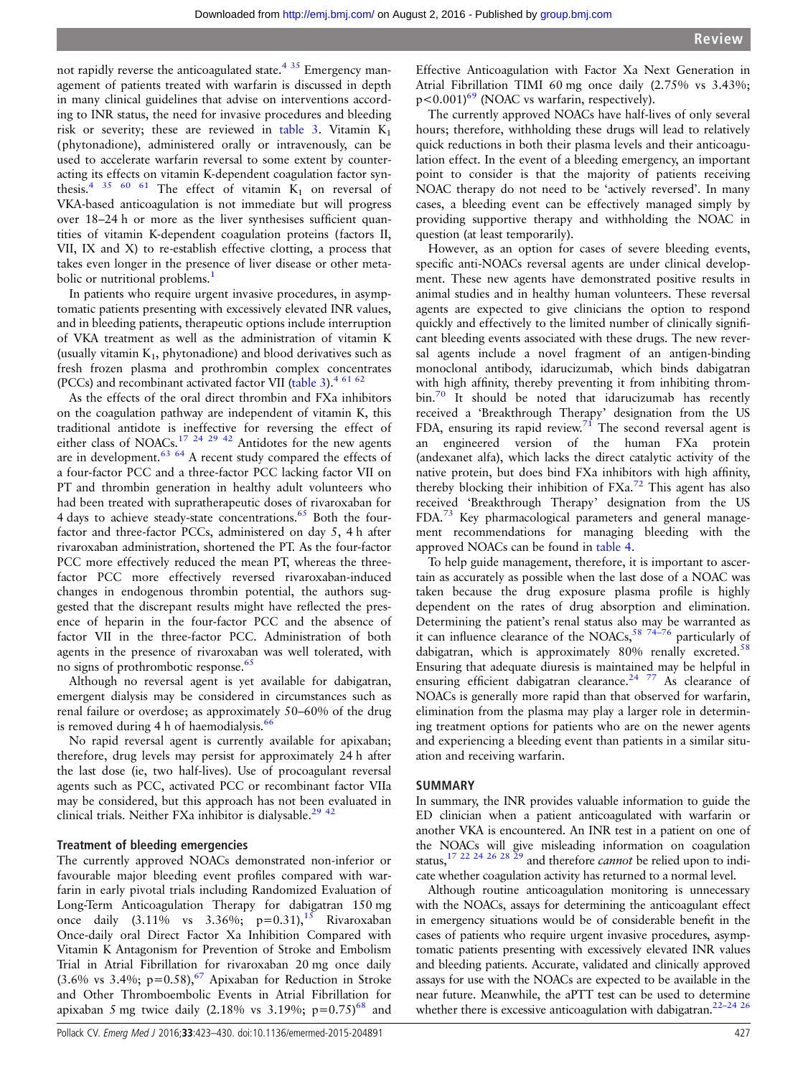not rapidly reverse the anticoagulated state. $4 \frac{35}{2}$  $4 \frac{35}{2}$  Emergency management of patients treated with warfarin is discussed in depth in many clinical guidelines that advise on interventions according to INR status, the need for invasive procedures and bleeding risk or severity; these are reviewed in [table 3.](#page-3-0) Vitamin  $K_1$ (phytonadione), administered orally or intravenously, can be used to accelerate warfarin reversal to some extent by counteracting its effects on vitamin K-dependent coagulation factor syn-thesis.<sup>[4](#page-6-0) [35 60 61](#page-7-0)</sup> The effect of vitamin  $K_1$  on reversal of VKA-based anticoagulation is not immediate but will progress over 18–24 h or more as the liver synthesises sufficient quantities of vitamin K-dependent coagulation proteins (factors II, VII, IX and X) to re-establish effective clotting, a process that takes even longer in the presence of liver disease or other meta-bolic or nutritional problems.<sup>[1](#page-6-0)</sup>

In patients who require urgent invasive procedures, in asymptomatic patients presenting with excessively elevated INR values, and in bleeding patients, therapeutic options include interruption of VKA treatment as well as the administration of vitamin K (usually vitamin  $K_1$ , phytonadione) and blood derivatives such as fresh frozen plasma and prothrombin complex concentrates (PCCs) and recombinant activated factor VII [\(table 3\)](#page-3-0). $46162$  $46162$ 

As the effects of the oral direct thrombin and FXa inhibitors on the coagulation pathway are independent of vitamin K, this traditional antidote is ineffective for reversing the effect of either class of NOACs.<sup>[17 24 29](#page-6-0) [42](#page-7-0)</sup> Antidotes for the new agents are in development.<sup>[63 64](#page-7-0)</sup> A recent study compared the effects of a four-factor PCC and a three-factor PCC lacking factor VII on PT and thrombin generation in healthy adult volunteers who had been treated with supratherapeutic doses of rivaroxaban for 4 days to achieve steady-state concentrations.<sup>[65](#page-7-0)</sup> Both the fourfactor and three-factor PCCs, administered on day 5, 4 h after rivaroxaban administration, shortened the PT. As the four-factor PCC more effectively reduced the mean PT, whereas the threefactor PCC more effectively reversed rivaroxaban-induced changes in endogenous thrombin potential, the authors suggested that the discrepant results might have reflected the presence of heparin in the four-factor PCC and the absence of factor VII in the three-factor PCC. Administration of both agents in the presence of rivaroxaban was well tolerated, with no signs of prothrombotic response.<sup>[65](#page-7-0)</sup>

Although no reversal agent is yet available for dabigatran, emergent dialysis may be considered in circumstances such as renal failure or overdose; as approximately 50–60% of the drug is removed during 4 h of haemodialysis.<sup>6</sup>

No rapid reversal agent is currently available for apixaban; therefore, drug levels may persist for approximately 24 h after the last dose (ie, two half-lives). Use of procoagulant reversal agents such as PCC, activated PCC or recombinant factor VIIa may be considered, but this approach has not been evaluated in clinical trials. Neither FXa inhibitor is dialysable.<sup>[29](#page-6-0)</sup> <sup>42</sup>

## Treatment of bleeding emergencies

The currently approved NOACs demonstrated non-inferior or favourable major bleeding event profiles compared with warfarin in early pivotal trials including Randomized Evaluation of Long-Term Anticoagulation Therapy for dabigatran 150 mg once daily  $(3.11\% \text{ vs } 3.36\%; \text{ p=0.31})$ , Nivaroxaban Once-daily oral Direct Factor Xa Inhibition Compared with Vitamin K Antagonism for Prevention of Stroke and Embolism Trial in Atrial Fibrillation for rivaroxaban 20 mg once daily (3.6% vs 3.4%;  $p=0.58$ ), <sup>[67](#page-7-0)</sup> Apixaban for Reduction in Stroke and Other Thromboembolic Events in Atrial Fibrillation for apixaban 5 mg twice daily (2.18% vs 3.19%;  $p=0.75$ )<sup>[68](#page-7-0)</sup> and

Effective Anticoagulation with Factor Xa Next Generation in Atrial Fibrillation TIMI 60 mg once daily (2.75% vs 3.43%;  $p < 0.001$ <sup>69</sup> (NOAC vs warfarin, respectively).

The currently approved NOACs have half-lives of only several hours; therefore, withholding these drugs will lead to relatively quick reductions in both their plasma levels and their anticoagulation effect. In the event of a bleeding emergency, an important point to consider is that the majority of patients receiving NOAC therapy do not need to be 'actively reversed'. In many cases, a bleeding event can be effectively managed simply by providing supportive therapy and withholding the NOAC in question (at least temporarily).

However, as an option for cases of severe bleeding events, specific anti-NOACs reversal agents are under clinical development. These new agents have demonstrated positive results in animal studies and in healthy human volunteers. These reversal agents are expected to give clinicians the option to respond quickly and effectively to the limited number of clinically significant bleeding events associated with these drugs. The new reversal agents include a novel fragment of an antigen-binding monoclonal antibody, idarucizumab, which binds dabigatran with high affinity, thereby preventing it from inhibiting throm- $\frac{1}{2}$  It should be noted that idarucizumab has recently received a 'Breakthrough Therapy' designation from the US FDA, ensuring its rapid review.<sup>[71](#page-7-0)</sup> The second reversal agent is an engineered version of the human FXa protein (andexanet alfa), which lacks the direct catalytic activity of the native protein, but does bind FXa inhibitors with high affinity, thereby blocking their inhibition of FXa.<sup>[72](#page-7-0)</sup> This agent has also received 'Breakthrough Therapy' designation from the US FDA.[73](#page-7-0) Key pharmacological parameters and general management recommendations for managing bleeding with the approved NOACs can be found in [table 4.](#page-5-0)

To help guide management, therefore, it is important to ascertain as accurately as possible when the last dose of a NOAC was taken because the drug exposure plasma profile is highly dependent on the rates of drug absorption and elimination. Determining the patient's renal status also may be warranted as it can influence clearance of the NOACs,  $58$  74-76 particularly of dabigatran, which is approximately  $80\%$  renally excreted.<sup>[58](#page-7-0)</sup> Ensuring that adequate diuresis is maintained may be helpful in ensuring efficient dabigatran clearance.<sup>[24](#page-6-0) [77](#page-7-0)</sup> As clearance of NOACs is generally more rapid than that observed for warfarin, elimination from the plasma may play a larger role in determining treatment options for patients who are on the newer agents and experiencing a bleeding event than patients in a similar situation and receiving warfarin.

### SUMMARY

In summary, the INR provides valuable information to guide the ED clinician when a patient anticoagulated with warfarin or another VKA is encountered. An INR test in a patient on one of the NOACs will give misleading information on coagulation status,  $17$  22 24 26 28 29 and therefore *cannot* be relied upon to indicate whether coagulation activity has returned to a normal level.

Although routine anticoagulation monitoring is unnecessary with the NOACs, assays for determining the anticoagulant effect in emergency situations would be of considerable benefit in the cases of patients who require urgent invasive procedures, asymptomatic patients presenting with excessively elevated INR values and bleeding patients. Accurate, validated and clinically approved assays for use with the NOACs are expected to be available in the near future. Meanwhile, the aPTT test can be used to determine whether there is excessive anticoagulation with dabigatran. $22-24$   $26$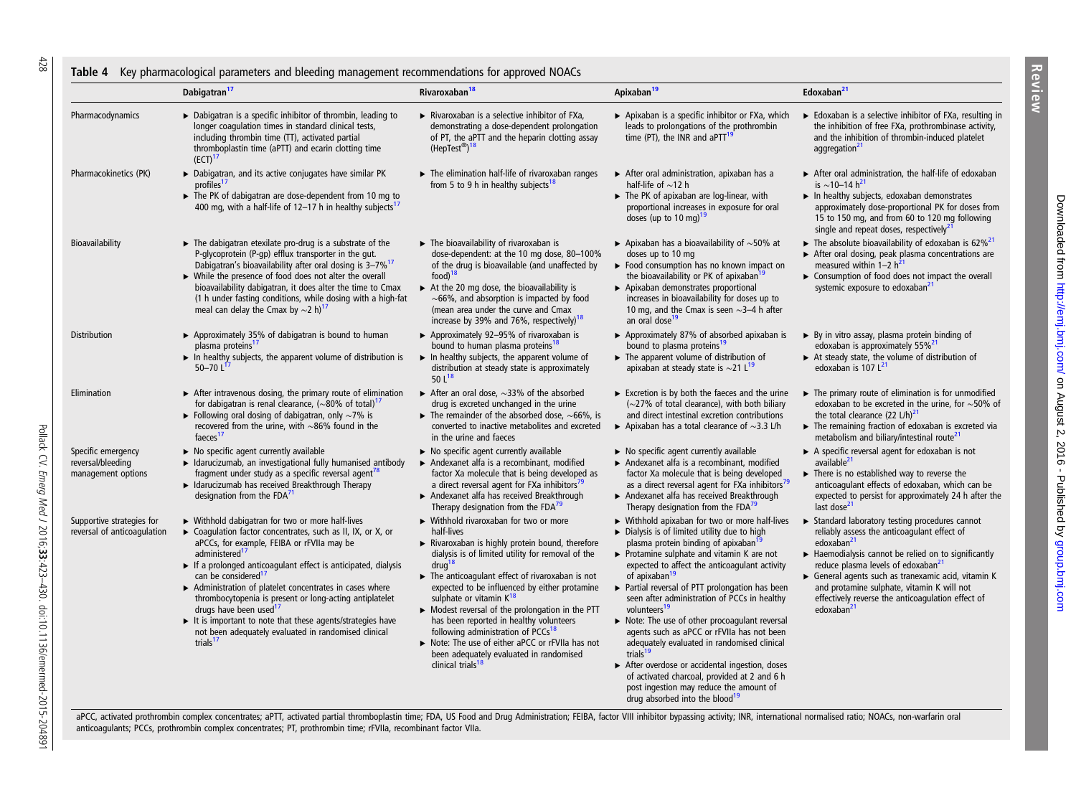#### Table 4 Key pharmacological parameters and bleeding management recommendations for approved NOACs

|                                                               | Dabigatran <sup>17</sup>                                                                                                                                                                                                                                                                                                                                                                                                                                                                                                                                                                               | Rivaroxaban <sup>18</sup>                                                                                                                                                                                                                                                                                                                                                                                                                                                                                                                                                                                                                   | Apixaban <sup>19</sup>                                                                                                                                                                                                                                                                                                                                                                                                                                                                                                                                                                                                                                                                                                                                                                                   | Edoxaban <sup>21</sup>                                                                                                                                                                                                                                                                                                                                                                                           |  |
|---------------------------------------------------------------|--------------------------------------------------------------------------------------------------------------------------------------------------------------------------------------------------------------------------------------------------------------------------------------------------------------------------------------------------------------------------------------------------------------------------------------------------------------------------------------------------------------------------------------------------------------------------------------------------------|---------------------------------------------------------------------------------------------------------------------------------------------------------------------------------------------------------------------------------------------------------------------------------------------------------------------------------------------------------------------------------------------------------------------------------------------------------------------------------------------------------------------------------------------------------------------------------------------------------------------------------------------|----------------------------------------------------------------------------------------------------------------------------------------------------------------------------------------------------------------------------------------------------------------------------------------------------------------------------------------------------------------------------------------------------------------------------------------------------------------------------------------------------------------------------------------------------------------------------------------------------------------------------------------------------------------------------------------------------------------------------------------------------------------------------------------------------------|------------------------------------------------------------------------------------------------------------------------------------------------------------------------------------------------------------------------------------------------------------------------------------------------------------------------------------------------------------------------------------------------------------------|--|
| Pharmacodynamics                                              | > Dabigatran is a specific inhibitor of thrombin, leading to<br>longer coagulation times in standard clinical tests,<br>including thrombin time (TT), activated partial<br>thromboplastin time (aPTT) and ecarin clotting time<br>(ECT) <sup>17</sup>                                                                                                                                                                                                                                                                                                                                                  | $\triangleright$ Rivaroxaban is a selective inhibitor of FXa,<br>demonstrating a dose-dependent prolongation<br>of PT, the aPTT and the heparin clotting assay<br>(HepTest®) <sup>18</sup>                                                                                                                                                                                                                                                                                                                                                                                                                                                  | Apixaban is a specific inhibitor or FXa, which<br>leads to prolongations of the prothrombin<br>time (PT), the INR and $aPTT^{19}$                                                                                                                                                                                                                                                                                                                                                                                                                                                                                                                                                                                                                                                                        | Edoxaban is a selective inhibitor of FXa, resulting in<br>the inhibition of free FXa, prothrombinase activity,<br>and the inhibition of thrombin-induced platelet<br>aggregation <sup>21</sup>                                                                                                                                                                                                                   |  |
| Pharmacokinetics (PK)                                         | ▶ Dabigatran, and its active conjugates have similar PK<br>profiles <sup>17</sup><br>The PK of dabigatran are dose-dependent from 10 mg to<br>400 mg, with a half-life of 12-17 h in healthy subjects <sup>1</sup>                                                                                                                                                                                                                                                                                                                                                                                     | $\blacktriangleright$ The elimination half-life of rivaroxaban ranges<br>from 5 to 9 h in healthy subjects <sup>18</sup>                                                                                                                                                                                                                                                                                                                                                                                                                                                                                                                    | $\triangleright$ After oral administration, apixaban has a<br>half-life of $\sim$ 12 h<br>The PK of apixaban are log-linear, with<br>proportional increases in exposure for oral<br>doses (up to 10 mg) <sup>19</sup>                                                                                                                                                                                                                                                                                                                                                                                                                                                                                                                                                                                    | After oral administration, the half-life of edoxaban<br>is ~10-14 $h^{21}$<br>$\blacktriangleright$ In healthy subjects, edoxaban demonstrates<br>approximately dose-proportional PK for doses from<br>15 to 150 mg, and from 60 to 120 mg following<br>single and repeat doses, respectively <sup>21</sup>                                                                                                      |  |
| Bioavailability                                               | $\blacktriangleright$ The dabigatran etexilate pro-drug is a substrate of the<br>P-glycoprotein (P-gp) efflux transporter in the gut.<br>Dabigatran's bioavailability after oral dosing is 3-7% <sup>17</sup><br>> While the presence of food does not alter the overall<br>bioavailability dabigatran, it does alter the time to Cmax<br>(1 h under fasting conditions, while dosing with a high-fat<br>meal can delay the Cmax by $\sim$ 2 h) <sup>17</sup>                                                                                                                                          | $\blacktriangleright$ The bioavailability of rivaroxaban is<br>dose-dependent: at the 10 mg dose, 80-100%<br>of the drug is bioavailable (and unaffected by<br>food) <sup>18</sup><br>$\triangleright$ At the 20 mg dose, the bioavailability is<br>$\sim$ 66%, and absorption is impacted by food<br>(mean area under the curve and Cmax<br>increase by 39% and 76%, respectively) <sup>18</sup>                                                                                                                                                                                                                                           | Apixaban has a bioavailability of $\sim$ 50% at<br>doses up to 10 mg<br>$\triangleright$ Food consumption has no known impact on<br>the bioavailability or PK of apixaban <sup>19</sup><br>▶ Apixaban demonstrates proportional<br>increases in bioavailability for doses up to<br>10 mg, and the Cmax is seen $\sim$ 3–4 h after<br>an oral dose <sup>19</sup>                                                                                                                                                                                                                                                                                                                                                                                                                                          | The absolute bioavailability of edoxaban is 62% <sup>21</sup><br>After oral dosing, peak plasma concentrations are<br>measured within $1-2 h^{21}$<br>$\triangleright$ Consumption of food does not impact the overall<br>systemic exposure to edoxaban <sup>21</sup>                                                                                                                                            |  |
| Distribution                                                  | ▶ Approximately 35% of dabigatran is bound to human<br>plasma proteins <sup>17</sup><br>In healthy subjects, the apparent volume of distribution is<br>50 $-70 L$                                                                                                                                                                                                                                                                                                                                                                                                                                      | ▶ Approximately 92-95% of rivaroxaban is<br>bound to human plasma proteins <sup>18</sup><br>$\triangleright$ In healthy subjects, the apparent volume of<br>distribution at steady state is approximately<br>50 $L^{18}$                                                                                                                                                                                                                                                                                                                                                                                                                    | ▶ Approximately 87% of absorbed apixaban is<br>bound to plasma proteins <sup>19</sup><br>$\blacktriangleright$ The apparent volume of distribution of<br>apixaban at steady state is $\sim$ 21 L <sup>19</sup>                                                                                                                                                                                                                                                                                                                                                                                                                                                                                                                                                                                           | > By in vitro assay, plasma protein binding of<br>edoxaban is approximately 55% <sup>21</sup><br>$\triangleright$ At steady state, the volume of distribution of<br>edoxaban is 107 L <sup>21</sup>                                                                                                                                                                                                              |  |
| Elimination                                                   | After intravenous dosing, the primary route of elimination<br>for dabigatran is renal clearance, $({\sim}80\%$ of total) <sup>17</sup><br>► Following oral dosing of dabigatran, only $\sim$ 7% is<br>recovered from the urine, with $\sim$ 86% found in the<br>faeces <sup>17</sup>                                                                                                                                                                                                                                                                                                                   | After an oral dose, $\sim$ 33% of the absorbed<br>drug is excreted unchanged in the urine<br>$\blacktriangleright$ The remainder of the absorbed dose, $\sim$ 66%, is<br>converted to inactive metabolites and excreted<br>in the urine and faeces                                                                                                                                                                                                                                                                                                                                                                                          | $\triangleright$ Excretion is by both the faeces and the urine<br>$(\sim$ 27% of total clearance), with both biliary<br>and direct intestinal excretion contributions<br>Apixaban has a total clearance of $\sim$ 3.3 L/h                                                                                                                                                                                                                                                                                                                                                                                                                                                                                                                                                                                | The primary route of elimination is for unmodified<br>edoxaban to be excreted in the urine, for $\sim$ 50% of<br>the total clearance $(22 L/h)^{21}$<br>The remaining fraction of edoxaban is excreted via<br>metabolism and biliary/intestinal route <sup>21</sup>                                                                                                                                              |  |
| Specific emergency<br>reversal/bleeding<br>management options | $\triangleright$ No specific agent currently available<br>Idarucizumab, an investigational fully humanised antibody<br>fragment under study as a specific reversal agent <sup>78</sup><br>Idarucizumab has received Breakthrough Therapy<br>designation from the $FDA71$                                                                                                                                                                                                                                                                                                                               | $\triangleright$ No specific agent currently available<br>Andexanet alfa is a recombinant, modified<br>factor Xa molecule that is being developed as<br>a direct reversal agent for FXa inhibitors <sup>19</sup><br>Andexanet alfa has received Breakthrough<br>Therapy designation from the FDA <sup>19</sup>                                                                                                                                                                                                                                                                                                                              | $\triangleright$ No specific agent currently available<br>Andexanet alfa is a recombinant, modified<br>factor Xa molecule that is being developed<br>as a direct reversal agent for FXa inhibitors <sup>79</sup><br>Andexanet alfa has received Breakthrough<br>Therapy designation from the FDA <sup>19</sup>                                                                                                                                                                                                                                                                                                                                                                                                                                                                                           | $\triangleright$ A specific reversal agent for edoxaban is not<br>available <sup>21</sup><br>$\blacktriangleright$ There is no established way to reverse the<br>anticoagulant effects of edoxaban, which can be<br>expected to persist for approximately 24 h after the<br>last dose <sup>21</sup>                                                                                                              |  |
| Supportive strategies for<br>reversal of anticoagulation      | ▶ Withhold dabigatran for two or more half-lives<br>▶ Coagulation factor concentrates, such as II, IX, or X, or<br>aPCCs, for example, FEIBA or rFVIIa may be<br>administered <sup>17</sup><br>If a prolonged anticoagulant effect is anticipated, dialysis<br>can be considered <sup>17</sup><br>Administration of platelet concentrates in cases where<br>thrombocytopenia is present or long-acting antiplatelet<br>drugs have been used <sup>17</sup><br>It is important to note that these agents/strategies have<br>not been adequately evaluated in randomised clinical<br>trials <sup>17</sup> | $\triangleright$ Withhold rivaroxaban for two or more<br>half-lives<br>Rivaroxaban is highly protein bound, therefore<br>dialysis is of limited utility for removal of the<br>drug<br>$\triangleright$ The anticoagulant effect of rivaroxaban is not<br>expected to be influenced by either protamine<br>sulphate or vitamin K <sup>18</sup><br>$\triangleright$ Modest reversal of the prolongation in the PTT<br>has been reported in healthy volunteers<br>following administration of PCCs <sup>18</sup><br>Note: The use of either aPCC or rFVIIa has not<br>been adequately evaluated in randomised<br>clinical trials <sup>18</sup> | Withhold apixaban for two or more half-lives<br>$\triangleright$ Dialysis is of limited utility due to high<br>plasma protein binding of apixaban <sup>15</sup><br>$\triangleright$ Protamine sulphate and vitamin K are not<br>expected to affect the anticoagulant activity<br>of apixaban <sup>19</sup><br>▶ Partial reversal of PTT prolongation has been<br>seen after administration of PCCs in healthy<br>volunteers <sup>19</sup><br>Note: The use of other procoagulant reversal<br>agents such as aPCC or rFVIIa has not been<br>adequately evaluated in randomised clinical<br>trials <sup>19</sup><br>After overdose or accidental ingestion, doses<br>of activated charcoal, provided at 2 and 6 h<br>post ingestion may reduce the amount of<br>drug absorbed into the blood <sup>19</sup> | Standard laboratory testing procedures cannot<br>reliably assess the anticoagulant effect of<br>edoxaban <sup>21</sup><br>Haemodialysis cannot be relied on to significantly<br>reduce plasma levels of edoxaban <sup>21</sup><br>General agents such as tranexamic acid, vitamin K<br>and protamine sulphate, vitamin K will not<br>effectively reverse the anticoagulation effect of<br>edoxaban <sup>21</sup> |  |

aPCC, activated prothrombin complex concentrates; aPTT, activated partial thromboplastin time; FDA, US Food and Drug Administration; FEIBA, factor VIII inhibitor bypassing activity; INR, international normalised ratio; NOA anticoagulants; PCCs, prothrombin complex concentrates; PT, prothrombin time; rFVIIa, recombinant factor VIIa.

<span id="page-5-0"></span>428

Review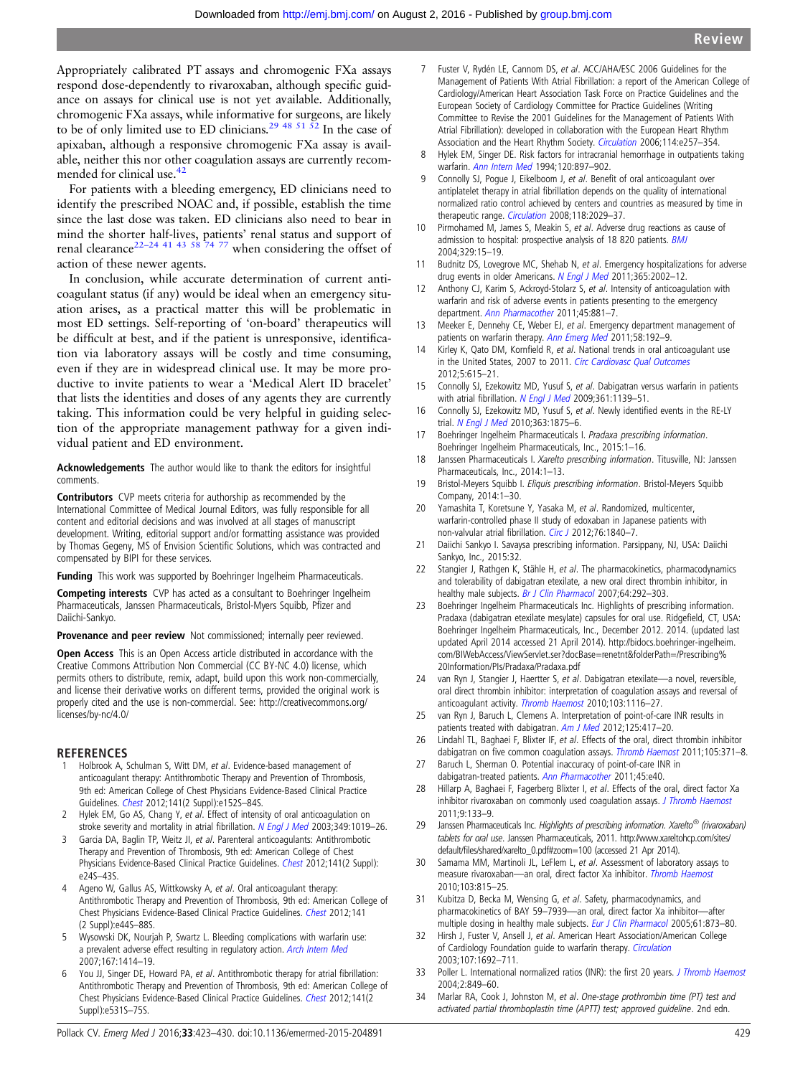<span id="page-6-0"></span>Appropriately calibrated PT assays and chromogenic FXa assays respond dose-dependently to rivaroxaban, although specific guidance on assays for clinical use is not yet available. Additionally, chromogenic FXa assays, while informative for surgeons, are likely to be of only limited use to ED clinicians.<sup>29 [48 51 52](#page-7-0)</sup> In the case of apixaban, although a responsive chromogenic FXa assay is available, neither this nor other coagulation assays are currently recommended for clinical use.<sup>42</sup>

For patients with a bleeding emergency, ED clinicians need to identify the prescribed NOAC and, if possible, establish the time since the last dose was taken. ED clinicians also need to bear in mind the shorter half-lives, patients' renal status and support of renal clearance<sup>22–24 41 43 58</sup> <sup>74 77</sup> when considering the offset of action of these newer agents.

In conclusion, while accurate determination of current anticoagulant status (if any) would be ideal when an emergency situation arises, as a practical matter this will be problematic in most ED settings. Self-reporting of 'on-board' therapeutics will be difficult at best, and if the patient is unresponsive, identification via laboratory assays will be costly and time consuming, even if they are in widespread clinical use. It may be more productive to invite patients to wear a 'Medical Alert ID bracelet' that lists the identities and doses of any agents they are currently taking. This information could be very helpful in guiding selection of the appropriate management pathway for a given individual patient and ED environment.

Acknowledgements The author would like to thank the editors for insightful comments.

Contributors CVP meets criteria for authorship as recommended by the International Committee of Medical Journal Editors, was fully responsible for all content and editorial decisions and was involved at all stages of manuscript development. Writing, editorial support and/or formatting assistance was provided by Thomas Gegeny, MS of Envision Scientific Solutions, which was contracted and compensated by BIPI for these services.

Funding This work was supported by Boehringer Ingelheim Pharmaceuticals.

Competing interests CVP has acted as a consultant to Boehringer Ingelheim Pharmaceuticals, Janssen Pharmaceuticals, Bristol-Myers Squibb, Pfizer and Daiichi-Sankyo.

Provenance and peer review Not commissioned; internally peer reviewed.

Open Access This is an Open Access article distributed in accordance with the Creative Commons Attribution Non Commercial (CC BY-NC 4.0) license, which permits others to distribute, remix, adapt, build upon this work non-commercially, and license their derivative works on different terms, provided the original work is properly cited and the use is non-commercial. See: [http://creativecommons.org/](http://creativecommons.org/licenses/by-nc/4.0/) [licenses/by-nc/4.0/](http://creativecommons.org/licenses/by-nc/4.0/)

### REFERENCES

- Holbrook A, Schulman S, Witt DM, et al. Evidence-based management of anticoagulant therapy: Antithrombotic Therapy and Prevention of Thrombosis, 9th ed: American College of Chest Physicians Evidence-Based Clinical Practice Guidelines. [Chest](http://dx.doi.org/10.1378/chest.11-2295) 2012;141(2 Suppl):e152S–84S.
- 2 Hylek EM, Go AS, Chang Y, et al. Effect of intensity of oral anticoagulation on stroke severity and mortality in atrial fibrillation. [N Engl J Med](http://dx.doi.org/10.1056/NEJMoa022913) 2003;349:1019-26.
- Garcia DA, Baglin TP, Weitz JI, et al. Parenteral anticoagulants: Antithrombotic Therapy and Prevention of Thrombosis, 9th ed: American College of Chest Physicians Evidence-Based Clinical Practice Guidelines. [Chest](http://dx.doi.org/10.1378/chest.11-2291) 2012;141(2 Suppl): e24S–43S.
- 4 Ageno W, Gallus AS, Wittkowsky A, et al. Oral anticoagulant therapy: Antithrombotic Therapy and Prevention of Thrombosis, 9th ed: American College of [Chest](http://dx.doi.org/10.1378/chest.11-2292) Physicians Evidence-Based Clinical Practice Guidelines. Chest 2012;141 (2 Suppl):e44S–88S.
- 5 Wysowski DK, Nourjah P, Swartz L. Bleeding complications with warfarin use: a prevalent adverse effect resulting in regulatory action. [Arch Intern Med](http://dx.doi.org/10.1001/archinte.167.13.1414) 2007;167:1414–19.
- 6 You JJ, Singer DE, Howard PA, et al. Antithrombotic therapy for atrial fibrillation: Antithrombotic Therapy and Prevention of Thrombosis, 9th ed: American College of Chest Physicians Evidence-Based Clinical Practice Guidelines. [Chest](http://dx.doi.org/10.1378/chest.11-2304) 2012;141(2 Suppl):e531S–75S.
- 8 Hylek EM, Singer DE. Risk factors for intracranial hemorrhage in outpatients taking warfarin. [Ann Intern Med](http://dx.doi.org/10.7326/0003-4819-120-11-199406010-00001) 1994;120:897–902.
- Connolly SJ, Pogue J, Eikelboom J, et al. Benefit of oral anticoagulant over antiplatelet therapy in atrial fibrillation depends on the quality of international normalized ratio control achieved by centers and countries as measured by time in therapeutic range. [Circulation](http://dx.doi.org/10.1161/CIRCULATIONAHA.107.750000) 2008;118:2029-37.
- 10 Pirmohamed M, James S, Meakin S, et al. Adverse drug reactions as cause of admission to hospital: prospective analysis of 18 820 patients. [BMJ](http://dx.doi.org/10.1136/bmj.329.7456.15) 2004;329:15–19.
- 11 Budnitz DS, Lovegrove MC, Shehab N, et al. Emergency hospitalizations for adverse drug events in older Americans. [N Engl J Med](http://dx.doi.org/10.1056/NEJMsa1103053) 2011;365:2002-12.
- 12 Anthony CJ, Karim S, Ackroyd-Stolarz S, et al. Intensity of anticoagulation with warfarin and risk of adverse events in patients presenting to the emergency department. [Ann Pharmacother](http://dx.doi.org/10.1345/aph.1P670) 2011;45:881-7.
- Meeker E, Dennehy CE, Weber EJ, et al. Emergency department management of patients on warfarin therapy. [Ann Emerg Med](http://dx.doi.org/10.1016/j.annemergmed.2011.01.018) 2011;58:192-9.
- 14 Kirley K, Qato DM, Kornfield R, et al. National trends in oral anticoagulant use in the United States, 2007 to 2011. [Circ Cardiovasc Qual Outcomes](http://dx.doi.org/10.1161/CIRCOUTCOMES.112.967299) 2012;5:615–21.
- 15 Connolly SJ, Ezekowitz MD, Yusuf S, et al. Dabigatran versus warfarin in patients with atrial fibrillation. [N Engl J Med](http://dx.doi.org/10.1056/NEJMoa0905561) 2009;361:1139-51.
- 16 Connolly SJ, Ezekowitz MD, Yusuf S, et al. Newly identified events in the RE-LY trial. [N Engl J Med](http://dx.doi.org/10.1056/NEJMc1007378) 2010;363:1875-6.
- 17 Boehringer Ingelheim Pharmaceuticals I. Pradaxa prescribing information. Boehringer Ingelheim Pharmaceuticals, Inc., 2015:1–16.
- 18 Janssen Pharmaceuticals I. Xarelto prescribing information. Titusville, NJ: Janssen Pharmaceuticals, Inc., 2014:1–13.
- 19 Bristol-Meyers Squibb I. Eliquis prescribing information. Bristol-Meyers Squibb Company, 2014:1–30.
- 20 Yamashita T, Koretsune Y, Yasaka M, et al. Randomized, multicenter, warfarin-controlled phase II study of edoxaban in Japanese patients with non-valvular atrial fibrillation. [Circ J](http://dx.doi.org/10.1253/circj.CJ-11-1140) 2012;76:1840-7.
- 21 Daiichi Sankyo I. Savaysa prescribing information. Parsippany, NJ, USA: Daiichi Sankyo, Inc., 2015:32.
- 22 Stangier J, Rathgen K, Stähle H, et al. The pharmacokinetics, pharmacodynamics and tolerability of dabigatran etexilate, a new oral direct thrombin inhibitor, in healthy male subjects. [Br J Clin Pharmacol](http://dx.doi.org/10.1111/j.1365-2125.2007.02899.x) 2007;64:292-303.
- 23 Boehringer Ingelheim Pharmaceuticals Inc. Highlights of prescribing information. Pradaxa (dabigatran etexilate mesylate) capsules for oral use. Ridgefield, CT, USA: Boehringer Ingelheim Pharmaceuticals, Inc., December 2012. 2014. (updated last updated April 2014 accessed 21 April 2014). [http://bidocs.boehringer-ingelheim.](http://bidocs.boehringer-ingelheim.com/BIWebAccess/ViewServlet.ser?docBase=renetnt&folderPath=/Prescribing%20Information/PIs/Pradaxa/Pradaxa.pdf) [com/BIWebAccess/ViewServlet.ser?docBase=renetnt&folderPath=/Prescribing%](http://bidocs.boehringer-ingelheim.com/BIWebAccess/ViewServlet.ser?docBase=renetnt&folderPath=/Prescribing%20Information/PIs/Pradaxa/Pradaxa.pdf) [20Information/PIs/Pradaxa/Pradaxa.pdf](http://bidocs.boehringer-ingelheim.com/BIWebAccess/ViewServlet.ser?docBase=renetnt&folderPath=/Prescribing%20Information/PIs/Pradaxa/Pradaxa.pdf)
- 24 van Ryn J, Stangier J, Haertter S, et al. Dabigatran etexilate—a novel, reversible, oral direct thrombin inhibitor: interpretation of coagulation assays and reversal of anticoagulant activity. [Thromb Haemost](http://dx.doi.org/10.1160/TH09-11-0758) 2010;103:1116–27.
- 25 van Ryn J, Baruch L, Clemens A. Interpretation of point-of-care INR results in patients treated with dabigatran. [Am J Med](http://dx.doi.org/10.1016/j.amjmed.2011.10.017) 2012;125:417-20.
- 26 Lindahl TL, Baghaei F, Blixter IF, et al. Effects of the oral, direct thrombin inhibitor dabigatran on five common coagulation assays. [Thromb Haemost](http://dx.doi.org/10.1160/TH10-06-0342) 2011;105:371-8.
- 27 Baruch L, Sherman O. Potential inaccuracy of point-of-care INR in dabigatran-treated patients. [Ann Pharmacother](http://dx.doi.org/10.1345/aph.1Q105) 2011;45:e40.
- 28 Hillarp A, Baghaei F, Fagerberg Blixter I, et al. Effects of the oral, direct factor Xa inhibitor rivaroxaban on commonly used coagulation assays. [J Thromb Haemost](http://dx.doi.org/10.1111/j.1538-7836.2010.04098.x) 2011;9:133–9.
- 29 Janssen Pharmaceuticals Inc. Highlights of prescribing information. Xarelto<sup>®</sup> (rivaroxaban) tablets for oral use. Janssen Pharmaceuticals, 2011. [http://www.xareltohcp.com/sites/](http://www.xareltohcp.com/sites/default/files/shared/xarelto_0.pdf#zoom=100) default/fi[les/shared/xarelto\\_0.pdf#zoom=100](http://www.xareltohcp.com/sites/default/files/shared/xarelto_0.pdf#zoom=100) (accessed 21 Apr 2014).
- 30 Samama MM, Martinoli JL, LeFlem L, et al. Assessment of laboratory assays to measure rivaroxaban—an oral, direct factor Xa inhibitor. [Thromb Haemost](http://dx.doi.org/10.1160/TH09-03-0176) 2010;103:815–25.
- 31 Kubitza D, Becka M, Wensing G, et al. Safety, pharmacodynamics, and pharmacokinetics of BAY 59–7939—an oral, direct factor Xa inhibitor—after multiple dosing in healthy male subjects. [Eur J Clin Pharmacol](http://dx.doi.org/10.1007/s00228-005-0043-5) 2005;61:873-80.
- 32 Hirsh J, Fuster V, Ansell J, et al. American Heart Association/American College of Cardiology Foundation guide to warfarin therapy. [Circulation](http://dx.doi.org/10.1161/01.CIR.0000063575.17904.4E) 2003;107:1692–711.
- 33 Poller L. International normalized ratios (INR): the first 20 years. [J Thromb Haemost](http://dx.doi.org/10.1111/j.1538-7836.2004.00775.x) 2004;2:849–60.
- 34 Marlar RA, Cook J, Johnston M, et al. One-stage prothrombin time (PT) test and activated partial thromboplastin time (APTT) test; approved guideline. 2nd edn.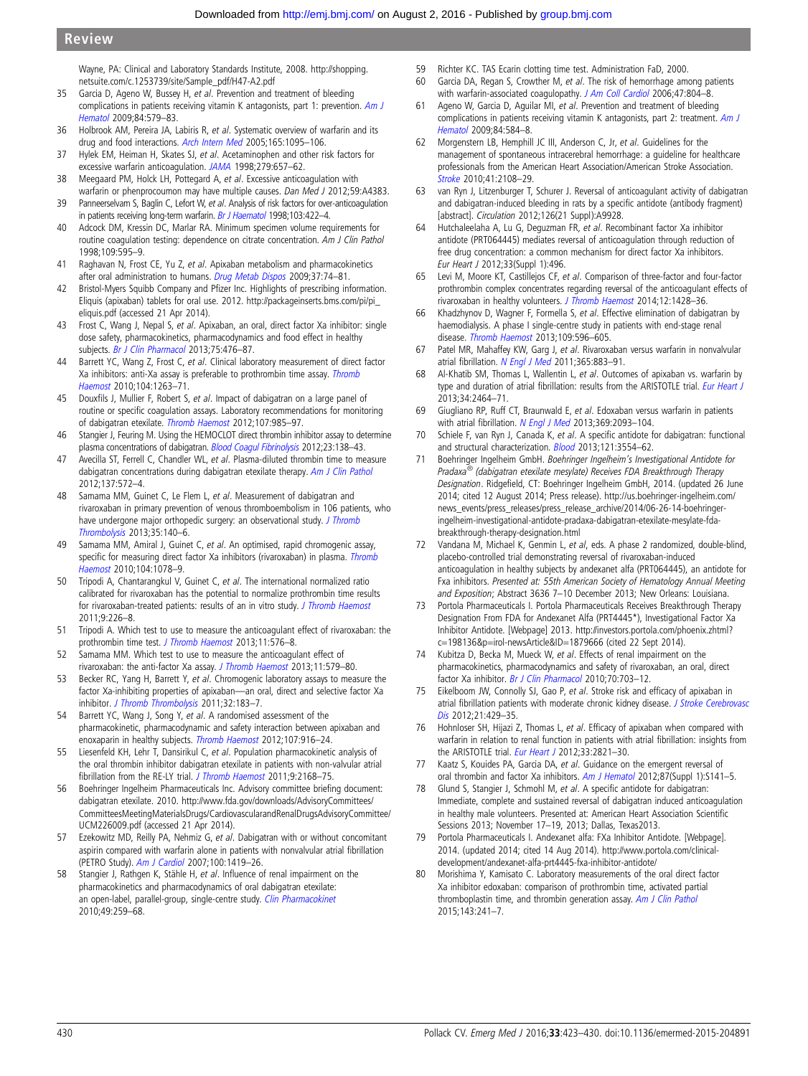<span id="page-7-0"></span>Wayne, PA: Clinical and Laboratory Standards Institute, 2008. [http://shopping.](http://shopping.netsuite.com/c.1253739/site/Sample_pdf/H47-A2.pdf) [netsuite.com/c.1253739/site/Sample\\_pdf/H47-A2.pdf](http://shopping.netsuite.com/c.1253739/site/Sample_pdf/H47-A2.pdf)

- 35 Garcia D, Ageno W, Bussey H, et al. Prevention and treatment of bleeding complications in patients receiving vitamin K antagonists, part 1: prevention. [Am J](http://dx.doi.org/10.1002/ajh.21470) [Hematol](http://dx.doi.org/10.1002/ajh.21470) 2009;84:579–83.
- 36 Holbrook AM, Pereira JA, Labiris R, et al. Systematic overview of warfarin and its drug and food interactions. [Arch Intern Med](http://dx.doi.org/10.1001/archinte.165.10.1095) 2005;165:1095-106.
- 37 Hylek EM, Heiman H, Skates SJ, et al. Acetaminophen and other risk factors for excessive warfarin anticoagulation. [JAMA](http://dx.doi.org/10.1001/jama.279.9.657) 1998;279:657–62.
- 38 Meegaard PM, Holck LH, Pottegard A, et al. Excessive anticoagulation with warfarin or phenprocoumon may have multiple causes. Dan Med J 2012;59:A4383.
- 39 Panneerselvam S, Baglin C, Lefort W, et al. Analysis of risk factors for over-anticoagulation in patients receiving long-term warfarin. [Br J Haematol](http://dx.doi.org/10.1046/j.1365-2141.1998.00988.x) 1998;103:422-4.
- 40 Adcock DM, Kressin DC, Marlar RA. Minimum specimen volume requirements for routine coagulation testing: dependence on citrate concentration. Am J Clin Pathol 1998;109:595–9.
- 41 Raghavan N, Frost CE, Yu Z, et al. Apixaban metabolism and pharmacokinetics after oral administration to humans. [Drug Metab Dispos](http://dx.doi.org/10.1124/dmd.108.023143) 2009;37:74-81.
- 42 Bristol-Myers Squibb Company and Pfizer Inc. Highlights of prescribing information. Eliquis (apixaban) tablets for oral use. 2012. [http://packageinserts.bms.com/pi/pi\\_](http://packageinserts.bms.com/pi/pi_eliquis.pdf) [eliquis.pdf](http://packageinserts.bms.com/pi/pi_eliquis.pdf) (accessed 21 Apr 2014).
- 43 Frost C, Wang J, Nepal S, et al. Apixaban, an oral, direct factor Xa inhibitor: single dose safety, pharmacokinetics, pharmacodynamics and food effect in healthy subjects. [Br J Clin Pharmacol](http://dx.doi.org/10.1111/j.1365-2125.2012.04369.x) 2013;75:476-87.
- 44 Barrett YC, Wang Z, Frost C, et al. Clinical laboratory measurement of direct factor Xa inhibitors: anti-Xa assay is preferable to prothrombin time assay. [Thromb](http://dx.doi.org/10.1160/TH10-05-0328) [Haemost](http://dx.doi.org/10.1160/TH10-05-0328) 2010;104:1263–71.
- 45 Douxfils J, Mullier F, Robert S, et al. Impact of dabigatran on a large panel of routine or specific coagulation assays. Laboratory recommendations for monitoring of dabigatran etexilate. [Thromb Haemost](http://dx.doi.org/10.1160/TH11-11-0804) 2012;107:985–97.
- 46 Stangier J, Feuring M. Using the HEMOCLOT direct thrombin inhibitor assay to determine plasma concentrations of dabigatran. [Blood Coagul Fibrinolysis](http://dx.doi.org/10.1097/MBC.0b013e32834f1b0c) 2012;23:138-43.
- 47 Avecilla ST, Ferrell C, Chandler WL, et al. Plasma-diluted thrombin time to measure dabigatran concentrations during dabigatran etexilate therapy. [Am J Clin Pathol](http://dx.doi.org/10.1309/AJCPAU7OQM0SRPZQ) 2012;137:572–4.
- 48 Samama MM, Guinet C, Le Flem L, et al. Measurement of dabigatran and rivaroxaban in primary prevention of venous thromboembolism in 106 patients, who have undergone major orthopedic surgery: an observational study. [J Thromb](http://dx.doi.org/10.1007/s11239-012-0803-x) [Thrombolysis](http://dx.doi.org/10.1007/s11239-012-0803-x) 2013;35:140–6.
- 49 Samama MM, Amiral J, Guinet C, et al. An optimised, rapid chromogenic assay, specific for measuring direct factor Xa inhibitors (rivaroxaban) in plasma. [Thromb](http://dx.doi.org/10.1160/TH10-03-0204) [Haemost](http://dx.doi.org/10.1160/TH10-03-0204) 2010;104:1078–9.
- 50 Tripodi A, Chantarangkul V, Guinet C, et al. The international normalized ratio calibrated for rivaroxaban has the potential to normalize prothrombin time results for rivaroxaban-treated patients: results of an in vitro study. [J Thromb Haemost](http://dx.doi.org/10.1111/j.1538-7836.2010.04106.x) 2011;9:226–8.
- 51 Tripodi A. Which test to use to measure the anticoagulant effect of rivaroxaban: the prothrombin time test. [J Thromb Haemost](http://dx.doi.org/10.1111/jth.12166) 2013;11:576-8.
- 52 Samama MM. Which test to use to measure the anticoagulant effect of rivaroxaban: the anti-factor Xa assay. [J Thromb Haemost](http://dx.doi.org/10.1111/jth.12165) 2013;11:579–80.
- 53 Becker RC, Yang H, Barrett Y, et al. Chromogenic laboratory assays to measure the factor Xa-inhibiting properties of apixaban—an oral, direct and selective factor Xa inhibitor. [J Thromb Thrombolysis](http://dx.doi.org/10.1007/s11239-011-0591-8) 2011;32:183-7.
- 54 Barrett YC, Wang J, Song Y, et al. A randomised assessment of the pharmacokinetic, pharmacodynamic and safety interaction between apixaban and enoxaparin in healthy subjects. [Thromb Haemost](http://dx.doi.org/10.1160/TH11-09-0634) 2012;107:916-24.
- 55 Liesenfeld KH, Lehr T, Dansirikul C, et al. Population pharmacokinetic analysis of the oral thrombin inhibitor dabigatran etexilate in patients with non-valvular atrial fibrillation from the RE-LY trial. [J Thromb Haemost](http://dx.doi.org/10.1111/j.1538-7836.2011.04498.x) 2011;9:2168-75.
- 56 Boehringer Ingelheim Pharmaceuticals Inc. Advisory committee briefing document: dabigatran etexilate. 2010. [http://www.fda.gov/downloads/AdvisoryCommittees/](http://www.fda.gov/downloads/AdvisoryCommittees/CommitteesMeetingMaterialsDrugs/CardiovascularandRenalDrugsAdvisoryCommittee/UCM226009.pdf) [CommitteesMeetingMaterialsDrugs/CardiovascularandRenalDrugsAdvisoryCommittee/](http://www.fda.gov/downloads/AdvisoryCommittees/CommitteesMeetingMaterialsDrugs/CardiovascularandRenalDrugsAdvisoryCommittee/UCM226009.pdf) [UCM226009.pdf](http://www.fda.gov/downloads/AdvisoryCommittees/CommitteesMeetingMaterialsDrugs/CardiovascularandRenalDrugsAdvisoryCommittee/UCM226009.pdf) (accessed 21 Apr 2014).
- 57 Ezekowitz MD, Reilly PA, Nehmiz G, et al. Dabigatran with or without concomitant aspirin compared with warfarin alone in patients with nonvalvular atrial fibrillation (PETRO Study). [Am J Cardiol](http://dx.doi.org/10.1016/j.amjcard.2007.06.034) 2007;100:1419–26.
- 58 Stangier J, Rathgen K, Stähle H, et al. Influence of renal impairment on the pharmacokinetics and pharmacodynamics of oral dabigatran etexilate: an open-label, parallel-group, single-centre study. [Clin Pharmacokinet](http://dx.doi.org/10.2165/11318170-000000000-00000) 2010;49:259–68.
- 59 Richter KC. TAS Ecarin clotting time test. Administration FaD, 2000. 60 Garcia DA, Regan S, Crowther M, et al. The risk of hemorrhage among patients
- with warfarin-associated coagulopathy. [J Am Coll Cardiol](http://dx.doi.org/10.1016/j.jacc.2005.09.058) 2006;47:804-8.
- 61 Ageno W, Garcia D, Aguilar MI, et al. Prevention and treatment of bleeding complications in patients receiving vitamin K antagonists, part 2: treatment. [Am J](http://dx.doi.org/10.1002/ajh.21469) [Hematol](http://dx.doi.org/10.1002/ajh.21469) 2009;84:584–8.
- 62 Morgenstern LB, Hemphill JC III, Anderson C, Jr, et al. Guidelines for the management of spontaneous intracerebral hemorrhage: a guideline for healthcare professionals from the American Heart Association/American Stroke Association. [Stroke](http://dx.doi.org/10.1161/STR.0b013e3181ec611b) 2010;41:2108–29.
- 63 van Ryn J, Litzenburger T, Schurer J. Reversal of anticoagulant activity of dabigatran and dabigatran-induced bleeding in rats by a specific antidote (antibody fragment) [abstract]. Circulation 2012;126(21 Suppl):A9928.
- 64 Hutchaleelaha A, Lu G, Deguzman FR, et al. Recombinant factor Xa inhibitor antidote (PRT064445) mediates reversal of anticoagulation through reduction of free drug concentration: a common mechanism for direct factor Xa inhibitors. Eur Heart J 2012;33(Suppl 1):496.
- 65 Levi M, Moore KT, Castillejos CF, et al. Comparison of three-factor and four-factor prothrombin complex concentrates regarding reversal of the anticoagulant effects of rivaroxaban in healthy volunteers. [J Thromb Haemost](http://dx.doi.org/10.1111/jth.12599) 2014;12:1428-36.
- 66 Khadzhynov D, Wagner F, Formella S, et al. Effective elimination of dabigatran by haemodialysis. A phase I single-centre study in patients with end-stage renal disease. [Thromb Haemost](http://dx.doi.org/10.1160/TH12-08-0573) 2013;109:596–605.
- 67 Patel MR, Mahaffey KW, Garg J, et al. Rivaroxaban versus warfarin in nonvalvular atrial fibrillation. [N Engl J Med](http://dx.doi.org/10.1056/NEJMoa1009638) 2011;365:883-91.
- 68 Al-Khatib SM, Thomas L, Wallentin L, et al. Outcomes of apixaban vs. warfarin by type and duration of atrial fibrillation: results from the ARISTOTLE trial. [Eur Heart J](http://dx.doi.org/10.1093/eurheartj/eht135) 2013;34:2464–71.
- 69 Giugliano RP, Ruff CT, Braunwald E, et al. Edoxaban versus warfarin in patients with atrial fibrillation. [N Engl J Med](http://dx.doi.org/10.1056/NEJMoa1310907) 2013;369:2093-104.
- 70 Schiele F, van Ryn J, Canada K, et al. A specific antidote for dabigatran: functional and structural characterization. [Blood](http://dx.doi.org/10.1182/blood-2012-11-468207) 2013;121:3554-62.
- 71 Boehringer Ingelheim GmbH. Boehringer Ingelheim's Investigational Antidote for Pradaxa<sup>®</sup> (dabigatran etexilate mesylate) Receives FDA Breakthrough Therapy Designation. Ridgefield, CT: Boehringer Ingelheim GmbH, 2014. (updated 26 June 2014; cited 12 August 2014; Press release). [http://us.boehringer-ingelheim.com/](http://us.boehringer-ingelheim.com/news_events/press_releases/press_release_archive/2014/06-26-14-boehringer-ingelheim-investigational-antidote-pradaxa-dabigatran-etexilate-mesylate-fda-breakthrough-therapy-designation.html) [news\\_events/press\\_releases/press\\_release\\_archive/2014/06-26-14-boehringer](http://us.boehringer-ingelheim.com/news_events/press_releases/press_release_archive/2014/06-26-14-boehringer-ingelheim-investigational-antidote-pradaxa-dabigatran-etexilate-mesylate-fda-breakthrough-therapy-designation.html)[ingelheim-investigational-antidote-pradaxa-dabigatran-etexilate-mesylate-fda](http://us.boehringer-ingelheim.com/news_events/press_releases/press_release_archive/2014/06-26-14-boehringer-ingelheim-investigational-antidote-pradaxa-dabigatran-etexilate-mesylate-fda-breakthrough-therapy-designation.html)[breakthrough-therapy-designation.html](http://us.boehringer-ingelheim.com/news_events/press_releases/press_release_archive/2014/06-26-14-boehringer-ingelheim-investigational-antidote-pradaxa-dabigatran-etexilate-mesylate-fda-breakthrough-therapy-designation.html)
- 72 Vandana M, Michael K, Genmin L, et al, eds. A phase 2 randomized, double-blind, placebo-controlled trial demonstrating reversal of rivaroxaban-induced anticoagulation in healthy subjects by andexanet alfa (PRT064445), an antidote for Fxa inhibitors. Presented at: 55th American Society of Hematology Annual Meeting and Exposition; Abstract 3636 7–10 December 2013; New Orleans: Louisiana.
- Portola Pharmaceuticals I. Portola Pharmaceuticals Receives Breakthrough Therapy Designation From FDA for Andexanet Alfa (PRT4445\*), Investigational Factor Xa Inhibitor Antidote. [Webpage] 2013. [http://investors.portola.com/phoenix.zhtml?](http://investors.portola.com/phoenix.zhtml?c=198136&p=irol-newsArticle&ID=1879666) [c=198136&p=irol-newsArticle&ID=1879666](http://investors.portola.com/phoenix.zhtml?c=198136&p=irol-newsArticle&ID=1879666) (cited 22 Sept 2014).
- 74 Kubitza D, Becka M, Mueck W, et al. Effects of renal impairment on the pharmacokinetics, pharmacodynamics and safety of rivaroxaban, an oral, direct factor Xa inhibitor. [Br J Clin Pharmacol](http://dx.doi.org/10.1111/j.1365-2125.2010.03753.x) 2010;70:703-12.
- 75 Eikelboom JW, Connolly SJ, Gao P, et al. Stroke risk and efficacy of apixaban in atrial fibrillation patients with moderate chronic kidney disease. [J Stroke Cerebrovasc](http://dx.doi.org/10.1016/j.jstrokecerebrovasdis.2012.05.007) [Dis](http://dx.doi.org/10.1016/j.jstrokecerebrovasdis.2012.05.007) 2012;21:429–35.
- Hohnloser SH, Hijazi Z, Thomas L, et al. Efficacy of apixaban when compared with warfarin in relation to renal function in patients with atrial fibrillation: insights from the ARISTOTLE trial. *[Eur Heart J](http://dx.doi.org/10.1093/eurheartj/ehs274)* 2012;33:2821-30.
- 77 Kaatz S, Kouides PA, Garcia DA, et al. Guidance on the emergent reversal of oral thrombin and factor Xa inhibitors. [Am J Hematol](http://dx.doi.org/10.1002/ajh.23202) 2012;87(Suppl 1):S141-5.
- 78 Glund S, Stangier J, Schmohl M, et al. A specific antidote for dabigatran: Immediate, complete and sustained reversal of dabigatran induced anticoagulation in healthy male volunteers. Presented at: American Heart Association Scientific Sessions 2013; November 17–19, 2013; Dallas, Texas2013.
- 79 Portola Pharmaceuticals I. Andexanet alfa: FXa Inhibitor Antidote. [Webpage]. 2014. (updated 2014; cited 14 Aug 2014). [http://www.portola.com/clinical](http://www.portola.com/clinical-development/andexanet-alfa-prt4445-fxa-inhibitor-antidote/)[development/andexanet-alfa-prt4445-fxa-inhibitor-antidote/](http://www.portola.com/clinical-development/andexanet-alfa-prt4445-fxa-inhibitor-antidote/)
- 80 Morishima Y, Kamisato C. Laboratory measurements of the oral direct factor Xa inhibitor edoxaban: comparison of prothrombin time, activated partial thromboplastin time, and thrombin generation assay. [Am J Clin Pathol](http://dx.doi.org/10.1309/AJCPQ2NJD3PXFTUG) 2015;143:241–7.